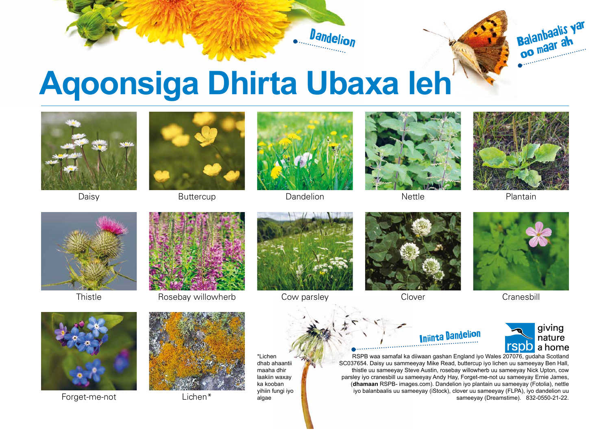

## **Aqoonsiga Dhirta Ubaxa leh**



Daisy







Dandelion



Nettle



Balanbaalis yar balaliwaa ah

Plantain



**Thistle** 



Rosebay willowherb Cow parsley



Forget-me-not Lichen\*



\*Lichen dhab ahaantii maaha dhir laakiin waxay ka kooban yihiin fungi iyo algae



Clover



**Cranesbill** 



RSPB waa samafal ka diiwaan gashan England iyo Wales 207076, gudaha Scotland SC037654. Daisy uu sammeeyay Mike Read, buttercup iyo lichen uu sameeyay Ben Hall, thistle uu sameeyay Steve Austin, rosebay willowherb uu sameeyay Nick Upton, cow parsley iyo cranesbill uu sameeyay Andy Hay, Forget-me-not uu sameeyay Ernie James, (**dhamaan** RSPB- images.com). Dandelion iyo plantain uu sameeyay (Fotolia), nettle iyo balanbaalis uu sameeyay (iStock), clover uu sameeyay (FLPA), iyo dandelion uu sameeyay (Dreamstime). 832-0550-21-22.

Iniinta Dandelion